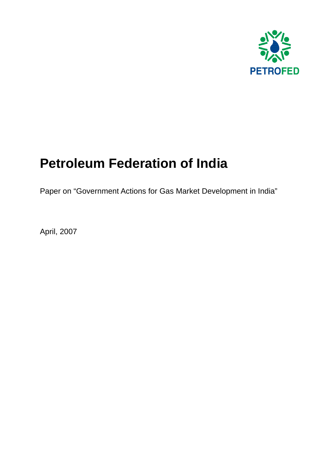

# **Petroleum Federation of India**

Paper on "Government Actions for Gas Market Development in India"

April, 2007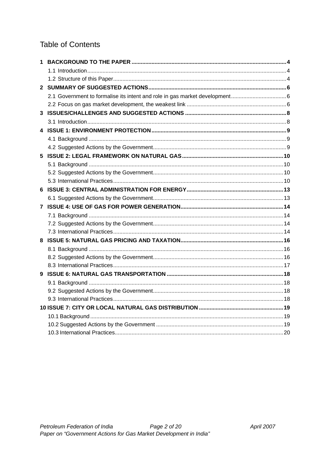### **Table of Contents**

| 1  |  |  |
|----|--|--|
|    |  |  |
|    |  |  |
|    |  |  |
|    |  |  |
|    |  |  |
|    |  |  |
|    |  |  |
|    |  |  |
|    |  |  |
|    |  |  |
| 5. |  |  |
|    |  |  |
|    |  |  |
|    |  |  |
|    |  |  |
|    |  |  |
|    |  |  |
|    |  |  |
|    |  |  |
|    |  |  |
|    |  |  |
|    |  |  |
|    |  |  |
|    |  |  |
|    |  |  |
|    |  |  |
|    |  |  |
|    |  |  |
|    |  |  |
|    |  |  |
|    |  |  |
|    |  |  |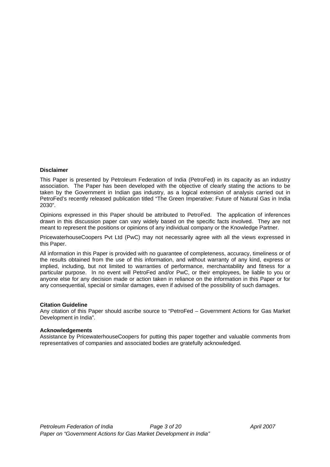#### **Disclaimer**

This Paper is presented by Petroleum Federation of India (PetroFed) in its capacity as an industry association. The Paper has been developed with the objective of clearly stating the actions to be taken by the Government in Indian gas industry, as a logical extension of analysis carried out in PetroFed's recently released publication titled "The Green Imperative: Future of Natural Gas in India 2030".

Opinions expressed in this Paper should be attributed to PetroFed. The application of inferences drawn in this discussion paper can vary widely based on the specific facts involved. They are not meant to represent the positions or opinions of any individual company or the Knowledge Partner.

PricewaterhouseCoopers Pvt Ltd (PwC) may not necessarily agree with all the views expressed in this Paper.

All information in this Paper is provided with no guarantee of completeness, accuracy, timeliness or of the results obtained from the use of this information, and without warranty of any kind, express or implied, including, but not limited to warranties of performance, merchantability and fitness for a particular purpose. In no event will PetroFed and/or PwC, or their employees, be liable to you or anyone else for any decision made or action taken in reliance on the information in this Paper or for any consequential, special or similar damages, even if advised of the possibility of such damages.

#### **Citation Guideline**

Any citation of this Paper should ascribe source to "PetroFed – Government Actions for Gas Market Development in India".

#### **Acknowledgements**

Assistance by PricewaterhouseCoopers for putting this paper together and valuable comments from representatives of companies and associated bodies are gratefully acknowledged.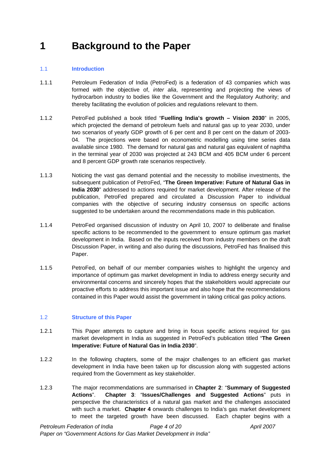## <span id="page-3-0"></span>**1 Background to the Paper**

#### 1.1 **Introduction**

- 1.1.1 Petroleum Federation of India (PetroFed) is a federation of 43 companies which was formed with the objective of, *inter alia*, representing and projecting the views of hydrocarbon industry to bodies like the Government and the Regulatory Authority; and thereby facilitating the evolution of policies and regulations relevant to them.
- 1.1.2 PetroFed published a book titled "**Fuelling India's growth Vision 2030**" in 2005, which projected the demand of petroleum fuels and natural gas up to year 2030, under two scenarios of yearly GDP growth of 6 per cent and 8 per cent on the datum of 2003- 04. The projections were based on econometric modelling using time series data available since 1980. The demand for natural gas and natural gas equivalent of naphtha in the terminal year of 2030 was projected at 243 BCM and 405 BCM under 6 percent and 8 percent GDP growth rate scenarios respectively.
- 1.1.3 Noticing the vast gas demand potential and the necessity to mobilise investments, the subsequent publication of PetroFed, "**The Green Imperative: Future of Natural Gas in India 2030**" addressed to actions required for market development. After release of the publication, PetroFed prepared and circulated a Discussion Paper to individual companies with the objective of securing industry consensus on specific actions suggested to be undertaken around the recommendations made in this publication.
- 1.1.4 PetroFed organised discussion of industry on April 10, 2007 to deliberate and finalise specific actions to be recommended to the government to ensure optimum gas market development in India. Based on the inputs received from industry members on the draft Discussion Paper, in writing and also during the discussions, PetroFed has finalised this Paper.
- 1.1.5 PetroFed, on behalf of our member companies wishes to highlight the urgency and importance of optimum gas market development in India to address energy security and environmental concerns and sincerely hopes that the stakeholders would appreciate our proactive efforts to address this important issue and also hope that the recommendations contained in this Paper would assist the government in taking critical gas policy actions.

#### 1.2 **Structure of this Paper**

- 1.2.1 This Paper attempts to capture and bring in focus specific actions required for gas market development in India as suggested in PetroFed's publication titled "**The Green Imperative: Future of Natural Gas in India 2030**".
- 1.2.2 In the following chapters, some of the major challenges to an efficient gas market development in India have been taken up for discussion along with suggested actions required from the Government as key stakeholder.
- 1.2.3 The major recommendations are summarised in **Chapter 2**: "**[Summary of Suggested](#page-5-1)  [Actions](#page-5-1)**". **Chapter 3**: "**[Issues/Challenges and Suggested Actions](#page-7-1)**" puts in perspective the characteristics of a natural gas market and the challenges associated with such a market. **Chapter 4** onwards challenges to India's gas market development to meet the targeted growth have been discussed. Each chapter begins with a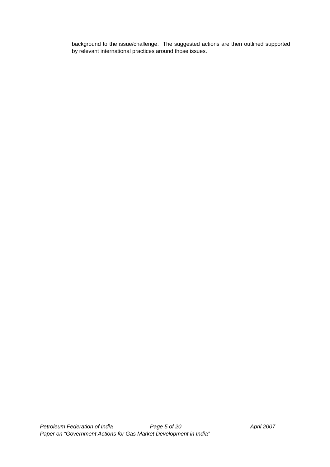background to the issue/challenge. The suggested actions are then outlined supported by relevant international practices around those issues.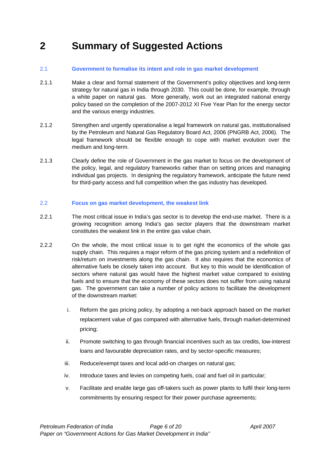### <span id="page-5-1"></span><span id="page-5-0"></span>**2 Summary of Suggested Actions**

#### 2.1 **Government to formalise its intent and role in gas market development**

- 2.1.1 Make a clear and formal statement of the Government's policy objectives and long-term strategy for natural gas in India through 2030. This could be done, for example, through a white paper on natural gas. More generally, work out an integrated national energy policy based on the completion of the 2007-2012 XI Five Year Plan for the energy sector and the various energy industries.
- 2.1.2 Strengthen and urgently operationalise a legal framework on natural gas, institutionalised by the Petroleum and Natural Gas Regulatory Board Act, 2006 (PNGRB Act, 2006). The legal framework should be flexible enough to cope with market evolution over the medium and long-term.
- 2.1.3 Clearly define the role of Government in the gas market to focus on the development of the policy, legal, and regulatory frameworks rather than on setting prices and managing individual gas projects. In designing the regulatory framework, anticipate the future need for third-party access and full competition when the gas industry has developed.

#### 2.2 **Focus on gas market development, the weakest link**

- 2.2.1 The most critical issue in India's gas sector is to develop the end-use market. There is a growing recognition among India's gas sector players that the downstream market constitutes the weakest link in the entire gas value chain.
- 2.2.2 On the whole, the most critical issue is to get right the economics of the whole gas supply chain. This requires a major reform of the gas pricing system and a redefinition of risk/return on investments along the gas chain. It also requires that the economics of alternative fuels be closely taken into account. But key to this would be identification of sectors where natural gas would have the highest market value compared to existing fuels and to ensure that the economy of these sectors does not suffer from using natural gas. The government can take a number of policy actions to facilitate the development of the downstream market:
	- i. Reform the gas pricing policy, by adopting a net-back approach based on the market replacement value of gas compared with alternative fuels, through market-determined pricing;
	- ii. Promote switching to gas through financial incentives such as tax credits, low-interest loans and favourable depreciation rates, and by sector-specific measures;
	- iii. Reduce/exempt taxes and local add-on charges on natural gas;
	- iv. Introduce taxes and levies on competing fuels, coal and fuel oil in particular;
	- v. Facilitate and enable large gas off-takers such as power plants to fulfil their long-term commitments by ensuring respect for their power purchase agreements;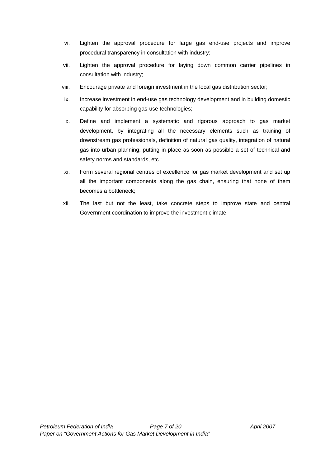- vi. Lighten the approval procedure for large gas end-use projects and improve procedural transparency in consultation with industry;
- vii. Lighten the approval procedure for laying down common carrier pipelines in consultation with industry;
- viii. Encourage private and foreign investment in the local gas distribution sector;
- ix. Increase investment in end-use gas technology development and in building domestic capability for absorbing gas-use technologies;
- x. Define and implement a systematic and rigorous approach to gas market development, by integrating all the necessary elements such as training of downstream gas professionals, definition of natural gas quality, integration of natural gas into urban planning, putting in place as soon as possible a set of technical and safety norms and standards, etc.;
- xi. Form several regional centres of excellence for gas market development and set up all the important components along the gas chain, ensuring that none of them becomes a bottleneck;
- xii. The last but not the least, take concrete steps to improve state and central Government coordination to improve the investment climate.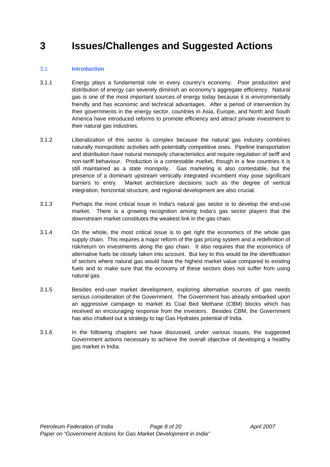### <span id="page-7-1"></span><span id="page-7-0"></span>**3 Issues/Challenges and Suggested Actions**

#### 3.1 **Introduction**

- 3.1.1 Energy plays a fundamental role in every country's economy. Poor production and distribution of energy can severely diminish an economy's aggregate efficiency. Natural gas is one of the most important sources of energy today because it is environmentally friendly and has economic and technical advantages. After a period of intervention by their governments in the energy sector, countries in Asia, Europe, and North and South America have introduced reforms to promote efficiency and attract private investment to their natural gas industries.
- 3.1.2 Liberalization of this sector is complex because the natural gas industry combines naturally monopolistic activities with potentially competitive ones. Pipeline transportation and distribution have natural monopoly characteristics and require regulation of tariff and non-tariff behaviour. Production is a contestable market, though in a few countries it is still maintained as a state monopoly. Gas marketing is also contestable, but the presence of a dominant upstream vertically integrated incumbent may pose significant barriers to entry. Market architecture decisions such as the degree of vertical integration, horizontal structure, and regional development are also crucial.
- 3.1.3 Perhaps the most critical issue in India's natural gas sector is to develop the end-use market. There is a growing recognition among India's gas sector players that the downstream market constitutes the weakest link in the gas chain.
- 3.1.4 On the whole, the most critical issue is to get right the economics of the whole gas supply chain. This requires a major reform of the gas pricing system and a redefinition of risk/return on investments along the gas chain. It also requires that the economics of alternative fuels be closely taken into account. But key to this would be the identification of sectors where natural gas would have the highest market value compared to existing fuels and to make sure that the economy of these sectors does not suffer from using natural gas.
- 3.1.5 Besides end-user market development, exploring alternative sources of gas needs serious consideration of the Government. The Government has already embarked upon an aggressive campaign to market its Coal Bed Methane (CBM) blocks which has received an encouraging response from the investors. Besides CBM, the Government has also chalked out a strategy to tap Gas Hydrates potential of India.
- 3.1.6 In the following chapters we have discussed, under various issues, the suggested Government actions necessary to achieve the overall objective of developing a healthy gas market in India.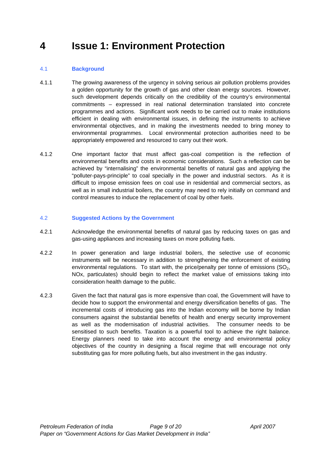### <span id="page-8-0"></span>**4 Issue 1: Environment Protection**

#### 4.1 **Background**

- 4.1.1 The growing awareness of the urgency in solving serious air pollution problems provides a golden opportunity for the growth of gas and other clean energy sources. However, such development depends critically on the credibility of the country's environmental commitments – expressed in real national determination translated into concrete programmes and actions. Significant work needs to be carried out to make institutions efficient in dealing with environmental issues, in defining the instruments to achieve environmental objectives, and in making the investments needed to bring money to environmental programmes. Local environmental protection authorities need to be appropriately empowered and resourced to carry out their work.
- 4.1.2 One important factor that must affect gas-coal competition is the reflection of environmental benefits and costs in economic considerations. Such a reflection can be achieved by "internalising" the environmental benefits of natural gas and applying the "polluter-pays-principle" to coal specially in the power and industrial sectors. As it is difficult to impose emission fees on coal use in residential and commercial sectors, as well as in small industrial boilers, the country may need to rely initially on command and control measures to induce the replacement of coal by other fuels.

#### 4.2 **Suggested Actions by the Government**

- 4.2.1 Acknowledge the environmental benefits of natural gas by reducing taxes on gas and gas-using appliances and increasing taxes on more polluting fuels.
- 4.2.2 In power generation and large industrial boilers, the selective use of economic instruments will be necessary in addition to strengthening the enforcement of existing environmental regulations. To start with, the price/penalty per tonne of emissions  $(SO<sub>2</sub>,$ NOx, particulates) should begin to reflect the market value of emissions taking into consideration health damage to the public.
- 4.2.3 Given the fact that natural gas is more expensive than coal, the Government will have to decide how to support the environmental and energy diversification benefits of gas. The incremental costs of introducing gas into the Indian economy will be borne by Indian consumers against the substantial benefits of health and energy security improvement as well as the modernisation of industrial activities. The consumer needs to be sensitised to such benefits. Taxation is a powerful tool to achieve the right balance. Energy planners need to take into account the energy and environmental policy objectives of the country in designing a fiscal regime that will encourage not only substituting gas for more polluting fuels, but also investment in the gas industry.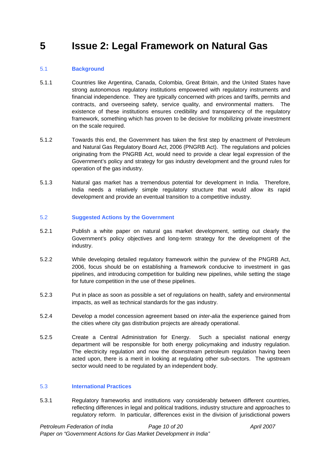### <span id="page-9-0"></span>**5 Issue 2: Legal Framework on Natural Gas**

#### 5.1 **Background**

- 5.1.1 Countries like Argentina, Canada, Colombia, Great Britain, and the United States have strong autonomous regulatory institutions empowered with regulatory instruments and financial independence. They are typically concerned with prices and tariffs, permits and contracts, and overseeing safety, service quality, and environmental matters. The existence of these institutions ensures credibility and transparency of the regulatory framework, something which has proven to be decisive for mobilizing private investment on the scale required.
- 5.1.2 Towards this end, the Government has taken the first step by enactment of Petroleum and Natural Gas Regulatory Board Act, 2006 (PNGRB Act). The regulations and policies originating from the PNGRB Act, would need to provide a clear legal expression of the Government's policy and strategy for gas industry development and the ground rules for operation of the gas industry.
- 5.1.3 Natural gas market has a tremendous potential for development in India. Therefore, India needs a relatively simple regulatory structure that would allow its rapid development and provide an eventual transition to a competitive industry.

#### 5.2 **Suggested Actions by the Government**

- 5.2.1 Publish a white paper on natural gas market development, setting out clearly the Government's policy objectives and long-term strategy for the development of the industry.
- 5.2.2 While developing detailed regulatory framework within the purview of the PNGRB Act, 2006, focus should be on establishing a framework conducive to investment in gas pipelines, and introducing competition for building new pipelines, while setting the stage for future competition in the use of these pipelines.
- 5.2.3 Put in place as soon as possible a set of regulations on health, safety and environmental impacts, as well as technical standards for the gas industry.
- 5.2.4 Develop a model concession agreement based on *inter-alia* the experience gained from the cities where city gas distribution projects are already operational.
- 5.2.5 Create a Central Administration for Energy. Such a specialist national energy department will be responsible for both energy policymaking and industry regulation. The electricity regulation and now the downstream petroleum regulation having been acted upon, there is a merit in looking at regulating other sub-sectors. The upstream sector would need to be regulated by an independent body.

#### 5.3 **International Practices**

5.3.1 Regulatory frameworks and institutions vary considerably between different countries, reflecting differences in legal and political traditions, industry structure and approaches to regulatory reform. In particular, differences exist in the division of jurisdictional powers

*Petroleum Federation of India Page 10 of 20 April 2007 Paper on "Government Actions for Gas Market Development in India"*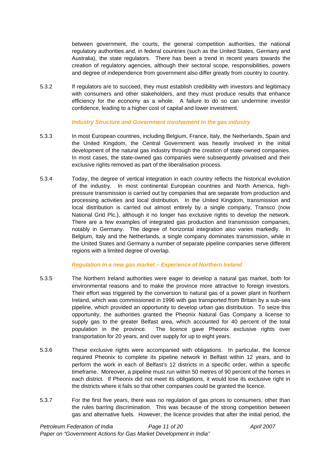between government, the courts, the general competition authorities, the national regulatory authorities and, in federal countries (such as the United States, Germany and Australia), the state regulators. There has been a trend in recent years towards the creation of regulatory agencies, although their sectoral scope, responsibilities, powers and degree of independence from government also differ greatly from country to country.

5.3.2 If regulators are to succeed, they must establish credibility with investors and legitimacy with consumers and other stakeholders, and they must produce results that enhance efficiency for the economy as a whole. A failure to do so can undermine investor confidence, leading to a higher cost of capital and lower investment.

#### *Industry Structure and Government involvement in the gas industry*

- 5.3.3 In most European countries, including Belgium, France, Italy, the Netherlands, Spain and the United Kingdom, the Central Government was heavily involved in the initial development of the natural gas industry through the creation of state-owned companies. In most cases, the state-owned gas companies were subsequently privatised and their exclusive rights removed as part of the liberalisation process.
- 5.3.4 Today, the degree of vertical integration in each country reflects the historical evolution of the industry. In most continental European countries and North America, highpressure transmission is carried out by companies that are separate from production and processing activities and local distribution. In the United Kingdom, transmission and local distribution is carried out almost entirely by a single company, Transco (now National Grid Plc.), although it no longer has exclusive rights to develop the network. There are a few examples of integrated gas production and transmission companies, notably in Germany. The degree of horizontal integration also varies markedly. In Belgium, Italy and the Netherlands, a single company dominates transmission, while in the United States and Germany a number of separate pipeline companies serve different regions with a limited degree of overlap.

#### *Regulation in a new gas market – Experience of Northern Ireland*

- 5.3.5 The Northern Ireland authorities were eager to develop a natural gas market, both for environmental reasons and to make the province more attractive to foreign investors. Their effort was triggered by the conversion to natural gas of a power plant in Northern Ireland, which was commissioned in 1996 with gas transported from Britain by a sub-sea pipeline, which provided an opportunity to develop urban gas distribution. To seize this opportunity, the authorities granted the Pheonix Natural Gas Company a license to supply gas to the greater Belfast area, which accounted for 40 percent of the total population in the province. The licence gave Pheonix exclusive rights over transportation for 20 years, and over supply for up to eight years.
- 5.3.6 These exclusive rights were accompanied with obligations. In particular, the licence required Pheonix to complete its pipeline network in Belfast within 12 years, and to perform the work in each of Belfast's 12 districts in a specific order, within a specific timeframe. Moreover, a pipeline must run within 50 metres of 90 percent of the homes in each district. If Pheonix did not meet its obligations, it would lose its exclusive right in the districts where it fails so that other companies could be granted the licence.
- 5.3.7 For the first five years, there was no regulation of gas prices to consumers, other than the rules barring discrimination. This was because of the strong competition between gas and alternative fuels. However, the licence provides that after the initial period, the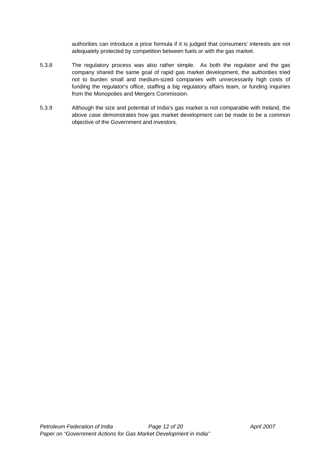authorities can introduce a price formula if it is judged that consumers' interests are not adequately protected by competition between fuels or with the gas market.

- 5.3.8 The regulatory process was also rather simple. As both the regulator and the gas company shared the same goal of rapid gas market development, the authorities tried not to burden small and medium-sized companies with unnecessarily high costs of funding the regulator's office, staffing a big regulatory affairs team, or funding inquiries from the Monopolies and Mergers Commission.
- 5.3.9 Although the size and potential of India's gas market is not comparable with Ireland, the above case demonstrates how gas market development can be made to be a common objective of the Government and investors.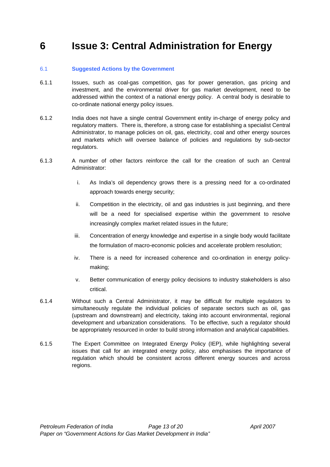### <span id="page-12-0"></span>**6 Issue 3: Central Administration for Energy**

#### 6.1 **Suggested Actions by the Government**

- 6.1.1 Issues, such as coal-gas competition, gas for power generation, gas pricing and investment, and the environmental driver for gas market development, need to be addressed within the context of a national energy policy. A central body is desirable to co-ordinate national energy policy issues.
- 6.1.2 India does not have a single central Government entity in-charge of energy policy and regulatory matters. There is, therefore, a strong case for establishing a specialist Central Administrator, to manage policies on oil, gas, electricity, coal and other energy sources and markets which will oversee balance of policies and regulations by sub-sector regulators.
- 6.1.3 A number of other factors reinforce the call for the creation of such an Central Administrator:
	- i. As India's oil dependency grows there is a pressing need for a co-ordinated approach towards energy security;
	- ii. Competition in the electricity, oil and gas industries is just beginning, and there will be a need for specialised expertise within the government to resolve increasingly complex market related issues in the future;
	- iii. Concentration of energy knowledge and expertise in a single body would facilitate the formulation of macro-economic policies and accelerate problem resolution;
	- iv. There is a need for increased coherence and co-ordination in energy policymaking;
	- v. Better communication of energy policy decisions to industry stakeholders is also critical.
- 6.1.4 Without such a Central Administrator, it may be difficult for multiple regulators to simultaneously regulate the individual policies of separate sectors such as oil, gas (upstream and downstream) and electricity, taking into account environmental, regional development and urbanization considerations. To be effective, such a regulator should be appropriately resourced in order to build strong information and analytical capabilities.
- 6.1.5 The Expert Committee on Integrated Energy Policy (IEP), while highlighting several issues that call for an integrated energy policy, also emphasises the importance of regulation which should be consistent across different energy sources and across regions.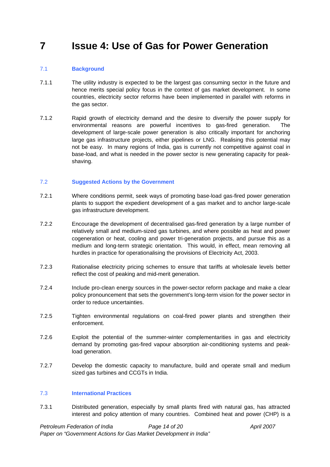### <span id="page-13-0"></span>**7 Issue 4: Use of Gas for Power Generation**

#### 7.1 **Background**

- 7.1.1 The utility industry is expected to be the largest gas consuming sector in the future and hence merits special policy focus in the context of gas market development. In some countries, electricity sector reforms have been implemented in parallel with reforms in the gas sector.
- 7.1.2 Rapid growth of electricity demand and the desire to diversify the power supply for environmental reasons are powerful incentives to gas-fired generation. The development of large-scale power generation is also critically important for anchoring large gas infrastructure projects, either pipelines or LNG. Realising this potential may not be easy. In many regions of India, gas is currently not competitive against coal in base-load, and what is needed in the power sector is new generating capacity for peakshaving.

#### 7.2 **Suggested Actions by the Government**

- 7.2.1 Where conditions permit, seek ways of promoting base-load gas-fired power generation plants to support the expedient development of a gas market and to anchor large-scale gas infrastructure development.
- 7.2.2 Encourage the development of decentralised gas-fired generation by a large number of relatively small and medium-sized gas turbines, and where possible as heat and power cogeneration or heat, cooling and power tri-generation projects, and pursue this as a medium and long-term strategic orientation. This would, in effect, mean removing all hurdles in practice for operationalising the provisions of Electricity Act, 2003.
- 7.2.3 Rationalise electricity pricing schemes to ensure that tariffs at wholesale levels better reflect the cost of peaking and mid-merit generation.
- 7.2.4 Include pro-clean energy sources in the power-sector reform package and make a clear policy pronouncement that sets the government's long-term vision for the power sector in order to reduce uncertainties.
- 7.2.5 Tighten environmental regulations on coal-fired power plants and strengthen their enforcement.
- 7.2.6 Exploit the potential of the summer-winter complementarities in gas and electricity demand by promoting gas-fired vapour absorption air-conditioning systems and peakload generation.
- 7.2.7 Develop the domestic capacity to manufacture, build and operate small and medium sized gas turbines and CCGTs in India.

#### 7.3 **International Practices**

7.3.1 Distributed generation, especially by small plants fired with natural gas, has attracted interest and policy attention of many countries. Combined heat and power (CHP) is a

*Petroleum Federation of India Page 14 of 20 April 2007 Paper on "Government Actions for Gas Market Development in India"*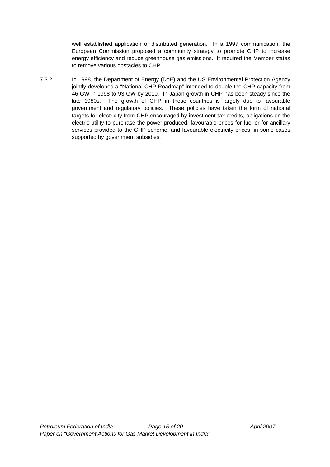well established application of distributed generation. In a 1997 communication, the European Commission proposed a community strategy to promote CHP to increase energy efficiency and reduce greenhouse gas emissions. It required the Member states to remove various obstacles to CHP.

7.3.2 In 1998, the Department of Energy (DoE) and the US Environmental Protection Agency jointly developed a "National CHP Roadmap" intended to double the CHP capacity from 46 GW in 1998 to 93 GW by 2010. In Japan growth in CHP has been steady since the late 1980s. The growth of CHP in these countries is largely due to favourable government and regulatory policies. These policies have taken the form of national targets for electricity from CHP encouraged by investment tax credits, obligations on the electric utility to purchase the power produced, favourable prices for fuel or for ancillary services provided to the CHP scheme, and favourable electricity prices, in some cases supported by government subsidies.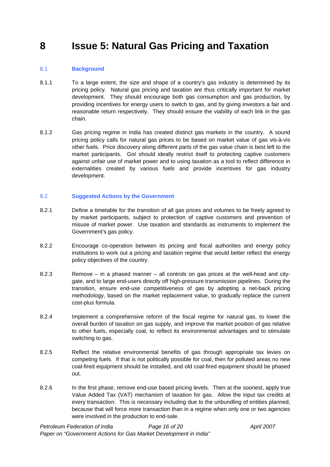### <span id="page-15-0"></span>**8 Issue 5: Natural Gas Pricing and Taxation**

#### 8.1 **Background**

- 8.1.1 To a large extent, the size and shape of a country's gas industry is determined by its pricing policy. Natural gas pricing and taxation are thus critically important for market development. They should encourage both gas consumption and gas production, by providing incentives for energy users to switch to gas, and by giving investors a fair and reasonable return respectively. They should ensure the viability of each link in the gas chain.
- 8.1.2 Gas pricing regime in India has created distinct gas markets in the country. A sound pricing policy calls for natural gas prices to be based on market value of gas vis-à-vis other fuels. Price discovery along different parts of the gas value chain is best left to the market participants. GoI should ideally restrict itself to protecting captive customers against unfair use of market power and to using taxation as a tool to reflect difference in externalities created by various fuels and provide incentives for gas industry development.

#### 8.2 **Suggested Actions by the Government**

- 8.2.1 Define a timetable for the transition of all gas prices and volumes to be freely agreed to by market participants, subject to protection of captive customers and prevention of misuse of market power. Use taxation and standards as instruments to implement the Government's gas policy.
- 8.2.2 Encourage co-operation between its pricing and fiscal authorities and energy policy institutions to work out a pricing and taxation regime that would better reflect the energy policy objectives of the country.
- 8.2.3 Remove in a phased manner all controls on gas prices at the well-head and citygate, and to large end-users directly off high-pressure transmission pipelines. During the transition, ensure end-use competitiveness of gas by adopting a net-back pricing methodology, based on the market replacement value, to gradually replace the current cost-plus formula.
- 8.2.4 Implement a comprehensive reform of the fiscal regime for natural gas, to lower the overall burden of taxation on gas supply, and improve the market position of gas relative to other fuels, especially coal, to reflect its environmental advantages and to stimulate switching to gas.
- 8.2.5 Reflect the relative environmental benefits of gas through appropriate tax levies on competing fuels. If that is not politically possible for coal, then for polluted areas no new coal-fired equipment should be installed, and old coal-fired equipment should be phased out.
- 8.2.6 In the first phase, remove end-use based pricing levels. Then at the soonest, apply true Value Added Tax (VAT) mechanism of taxation for gas. Allow the input tax credits at every transaction. This is necessary including due to the unbundling of entities planned, because that will force more transaction than in a regime when only one or two agencies were involved in the production to end-sale.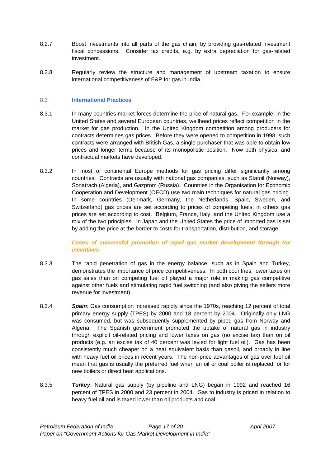- <span id="page-16-0"></span>8.2.7 Boost investments into all parts of the gas chain, by providing gas-related investment fiscal concessions. Consider tax credits, e.g. by extra depreciation for gas-related investment.
- 8.2.8 Regularly review the structure and management of upstream taxation to ensure international competitiveness of E&P for gas in India.

#### 8.3 **International Practices**

- 8.3.1 In many countries market forces determine the price of natural gas. For example, in the United States and several European countries, wellhead prices reflect competition in the market for gas production. In the United Kingdom competition among producers for contracts determines gas prices. Before they were opened to competition in 1998, such contracts were arranged with British Gas, a single purchaser that was able to obtain low prices and longer terms because of its monopolistic position. Now both physical and contractual markets have developed.
- 8.3.2 In most of continental Europe methods for gas pricing differ significantly among countries. Contracts are usually with national gas companies, such as Statoil (Norway), Sonatrach (Algeria), and Gazprom (Russia). Countries in the Organisation for Economic Cooperation and Development (OECD) use two main techniques for natural gas pricing. In some countries (Denmark, Germany, the Netherlands, Spain, Sweden, and Switzerland) gas prices are set according to prices of competing fuels; in others gas prices are set according to cost. Belgium, France, Italy, and the United Kingdom use a mix of the two principles. In Japan and the United States the price of imported gas is set by adding the price at the border to costs for transportation, distribution, and storage.

*Cases of successful promotion of rapid gas market development through tax incentives* 

- 8.3.3 The rapid penetration of gas in the energy balance, such as in Spain and Turkey, demonstrates the importance of price competitiveness. In both countries, lower taxes on gas sales than on competing fuel oil played a major role in making gas competitive against other fuels and stimulating rapid fuel switching (and also giving the sellers more revenue for investment).
- 8.3.4 *Spain*: Gas consumption increased rapidly since the 1970s, reaching 12 percent of total primary energy supply (TPES) by 2000 and 18 percent by 2004. Originally only LNG was consumed, but was subsequently supplemented by piped gas from Norway and Algeria. The Spanish government promoted the uptake of natural gas in industry through explicit oil-related pricing and lower taxes on gas (no excise tax) than on oil products (e.g. an excise tax of 40 percent was levied for light fuel oil). Gas has been consistently much cheaper on a heat equivalent basis than gasoil, and broadly in line with heavy fuel oil prices in recent years. The non-price advantages of gas over fuel oil mean that gas is usually the preferred fuel when an oil or coal boiler is replaced, or for new boilers or direct heat applications.
- 8.3.5 *Turkey*: Natural gas supply (by pipeline and LNG) began in 1992 and reached 16 percent of TPES in 2000 and 23 percent in 2004. Gas to industry is priced in relation to heavy fuel oil and is taxed lower than oil products and coal.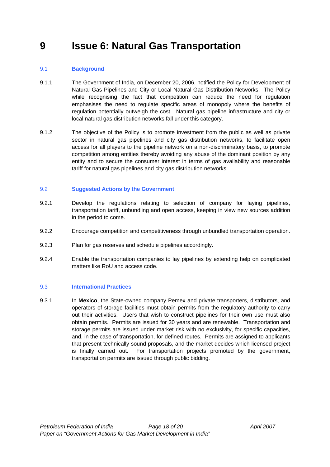### <span id="page-17-0"></span>**9 Issue 6: Natural Gas Transportation**

#### 9.1 **Background**

- 9.1.1 The Government of India, on December 20, 2006, notified the Policy for Development of Natural Gas Pipelines and City or Local Natural Gas Distribution Networks. The Policy while recognising the fact that competition can reduce the need for regulation emphasises the need to regulate specific areas of monopoly where the benefits of regulation potentially outweigh the cost. Natural gas pipeline infrastructure and city or local natural gas distribution networks fall under this category.
- 9.1.2 The objective of the Policy is to promote investment from the public as well as private sector in natural gas pipelines and city gas distribution networks, to facilitate open access for all players to the pipeline network on a non-discriminatory basis, to promote competition among entities thereby avoiding any abuse of the dominant position by any entity and to secure the consumer interest in terms of gas availability and reasonable tariff for natural gas pipelines and city gas distribution networks.

#### 9.2 **Suggested Actions by the Government**

- 9.2.1 Develop the regulations relating to selection of company for laying pipelines, transportation tariff, unbundling and open access, keeping in view new sources addition in the period to come.
- 9.2.2 Encourage competition and competitiveness through unbundled transportation operation.
- 9.2.3 Plan for gas reserves and schedule pipelines accordingly.
- 9.2.4 Enable the transportation companies to lay pipelines by extending help on complicated matters like RoU and access code.

#### 9.3 **International Practices**

9.3.1 In **Mexico**, the State-owned company Pemex and private transporters, distributors, and operators of storage facilities must obtain permits from the regulatory authority to carry out their activities. Users that wish to construct pipelines for their own use must also obtain permits. Permits are issued for 30 years and are renewable. Transportation and storage permits are issued under market risk with no exclusivity, for specific capacities, and, in the case of transportation, for defined routes. Permits are assigned to applicants that present technically sound proposals, and the market decides which licensed project is finally carried out. For transportation projects promoted by the government, transportation permits are issued through public bidding.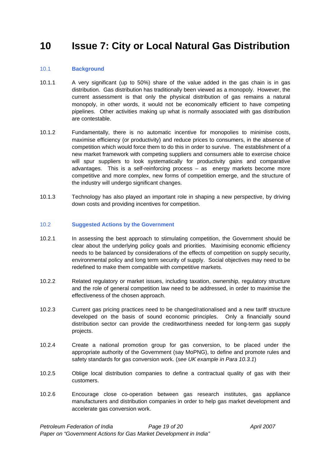### <span id="page-18-0"></span>**10 Issue 7: City or Local Natural Gas Distribution**

#### 10.1 **Background**

- 10.1.1 A very significant (up to 50%) share of the value added in the gas chain is in gas distribution. Gas distribution has traditionally been viewed as a monopoly. However, the current assessment is that only the physical distribution of gas remains a natural monopoly, in other words, it would not be economically efficient to have competing pipelines. Other activities making up what is normally associated with gas distribution are contestable.
- 10.1.2 Fundamentally, there is no automatic incentive for monopolies to minimise costs, maximise efficiency (or productivity) and reduce prices to consumers, in the absence of competition which would force them to do this in order to survive. The establishment of a new market framework with competing suppliers and consumers able to exercise choice will spur suppliers to look systematically for productivity gains and comparative advantages. This is a self-reinforcing process – as energy markets become more competitive and more complex, new forms of competition emerge, and the structure of the industry will undergo significant changes.
- 10.1.3 Technology has also played an important role in shaping a new perspective, by driving down costs and providing incentives for competition.

#### 10.2 **Suggested Actions by the Government**

- 10.2.1 In assessing the best approach to stimulating competition, the Government should be clear about the underlying policy goals and priorities. Maximising economic efficiency needs to be balanced by considerations of the effects of competition on supply security, environmental policy and long term security of supply. Social objectives may need to be redefined to make them compatible with competitive markets.
- 10.2.2 Related regulatory or market issues, including taxation, ownership, regulatory structure and the role of general competition law need to be addressed, in order to maximise the effectiveness of the chosen approach.
- 10.2.3 Current gas pricing practices need to be changed/rationalised and a new tariff structure developed on the basis of sound economic principles. Only a financially sound distribution sector can provide the creditworthiness needed for long-term gas supply projects.
- 10.2.4 Create a national promotion group for gas conversion, to be placed under the appropriate authority of the Government (say MoPNG), to define and promote rules and safety standards for gas conversion work. (*see UK example in Para 10.3.1*)
- 10.2.5 Oblige local distribution companies to define a contractual quality of gas with their customers.
- 10.2.6 Encourage close co-operation between gas research institutes, gas appliance manufacturers and distribution companies in order to help gas market development and accelerate gas conversion work.